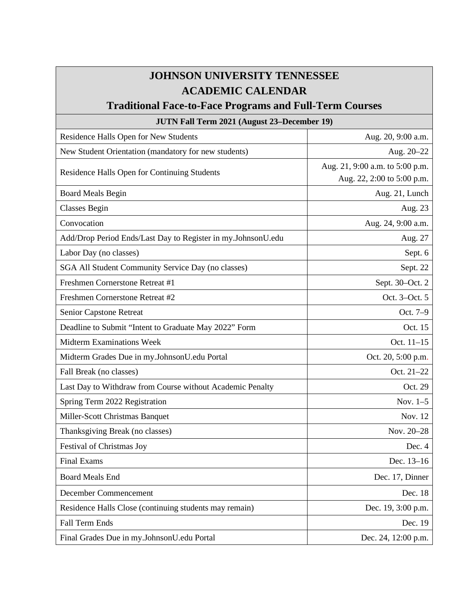## **JOHNSON UNIVERSITY TENNESSEE ACADEMIC CALENDAR**

## **Traditional Face-to-Face Programs and Full-Term Courses**

## **JUTN Fall Term 2021 (August 23–December 19)** Residence Halls Open for New Students Aug. 20, 9:00 a.m. New Student Orientation (mandatory for new students) Aug. 20–22 Residence Halls Open for Continuing Students Aug. 21, 9:00 a.m. to 5:00 p.m. Aug. 22, 2:00 to 5:00 p.m. Board Meals Begin and the second service of the service of the service of the service of the service of the service of the service of the service of the service of the service of the service of the service of the service o Classes Begin Aug. 23 Convocation **Aug. 24, 9:00 a.m.** Aug. 24, 9:00 a.m. Add/Drop Period Ends/Last Day to Register in my.JohnsonU.edu Aug. 27 Labor Day (no classes) Sept. 6 SGA All Student Community Service Day (no classes) Sept. 22 Freshmen Cornerstone Retreat #1 Sept. 30–Oct. 2 Freshmen Cornerstone Retreat #2 Oct. 3–Oct. 5 Senior Capstone Retreat **Oct.** 7–9 Deadline to Submit "Intent to Graduate May 2022" Form and all the state of the Oct. 15 Midterm Examinations Week **Oct.** 11–15 Midterm Grades Due in my.JohnsonU.edu Portal Due in the U.S. 20, 5:00 p.m. Fall Break (no classes) Cot. 21–22 Last Day to Withdraw from Course without Academic Penalty **Detect 20** Oct. 29 Spring Term 2022 Registration Nov. 1–5 Miller-Scott Christmas Banquet Nov. 12 Thanksgiving Break (no classes) Nov. 20–28 Festival of Christmas Joy Dec. 4 Final Exams Dec. 13–16 Board Meals End Dec. 17, Dinner December Commencement Dec. 18 Residence Halls Close (continuing students may remain) Dec. 19, 3:00 p.m. Fall Term Ends Dec. 19

Final Grades Due in my.JohnsonU.edu Portal Dec. 24, 12:00 p.m.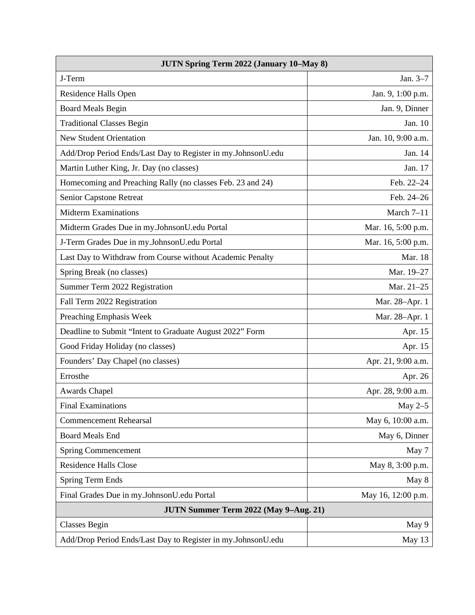| <b>JUTN Spring Term 2022 (January 10-May 8)</b>              |                    |
|--------------------------------------------------------------|--------------------|
| J-Term                                                       | Jan. 3-7           |
| Residence Halls Open                                         | Jan. 9, 1:00 p.m.  |
| <b>Board Meals Begin</b>                                     | Jan. 9, Dinner     |
| <b>Traditional Classes Begin</b>                             | Jan. 10            |
| <b>New Student Orientation</b>                               | Jan. 10, 9:00 a.m. |
| Add/Drop Period Ends/Last Day to Register in my.JohnsonU.edu | Jan. 14            |
| Martin Luther King, Jr. Day (no classes)                     | Jan. 17            |
| Homecoming and Preaching Rally (no classes Feb. 23 and 24)   | Feb. 22-24         |
| Senior Capstone Retreat                                      | Feb. 24-26         |
| <b>Midterm Examinations</b>                                  | March 7-11         |
| Midterm Grades Due in my.JohnsonU.edu Portal                 | Mar. 16, 5:00 p.m. |
| J-Term Grades Due in my.JohnsonU.edu Portal                  | Mar. 16, 5:00 p.m. |
| Last Day to Withdraw from Course without Academic Penalty    | Mar. 18            |
| Spring Break (no classes)                                    | Mar. 19-27         |
| Summer Term 2022 Registration                                | Mar. 21-25         |
| Fall Term 2022 Registration                                  | Mar. 28-Apr. 1     |
| Preaching Emphasis Week                                      | Mar. 28-Apr. 1     |
| Deadline to Submit "Intent to Graduate August 2022" Form     | Apr. 15            |
| Good Friday Holiday (no classes)                             | Apr. 15            |
| Founders' Day Chapel (no classes)                            | Apr. 21, 9:00 a.m. |
| Errosthe                                                     | Apr. 26            |
| <b>Awards Chapel</b>                                         | Apr. 28, 9:00 a.m. |
| <b>Final Examinations</b>                                    | May $2-5$          |
| <b>Commencement Rehearsal</b>                                | May 6, 10:00 a.m.  |
| <b>Board Meals End</b>                                       | May 6, Dinner      |
| <b>Spring Commencement</b>                                   | May 7              |
| <b>Residence Halls Close</b>                                 | May 8, 3:00 p.m.   |
| <b>Spring Term Ends</b>                                      | May 8              |
| Final Grades Due in my.JohnsonU.edu Portal                   | May 16, 12:00 p.m. |
| JUTN Summer Term 2022 (May 9-Aug. 21)                        |                    |
| <b>Classes Begin</b>                                         | May 9              |
| Add/Drop Period Ends/Last Day to Register in my.JohnsonU.edu | May 13             |